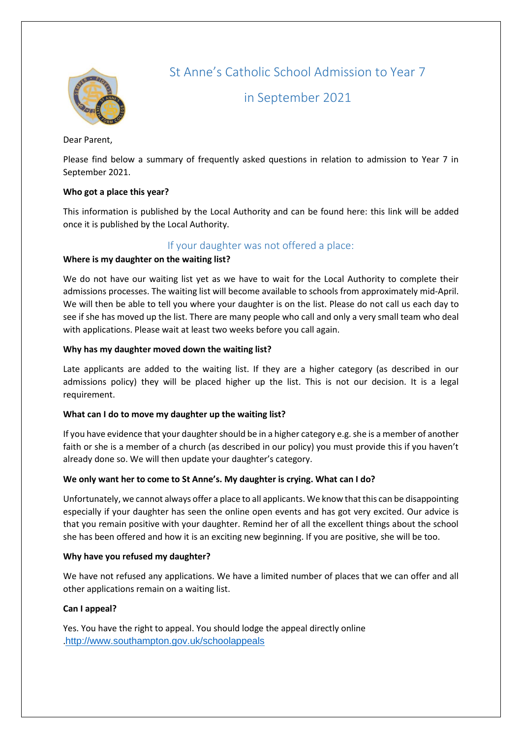

St Anne's Catholic School Admission to Year 7

in September 2021

Dear Parent,

Please find below a summary of frequently asked questions in relation to admission to Year 7 in September 2021.

## **Who got a place this year?**

This information is published by the Local Authority and can be found here: this link will be added once it is published by the Local Authority.

## If your daughter was not offered a place:

## **Where is my daughter on the waiting list?**

We do not have our waiting list yet as we have to wait for the Local Authority to complete their admissions processes. The waiting list will become available to schools from approximately mid-April. We will then be able to tell you where your daughter is on the list. Please do not call us each day to see if she has moved up the list. There are many people who call and only a very small team who deal with applications. Please wait at least two weeks before you call again.

## **Why has my daughter moved down the waiting list?**

Late applicants are added to the waiting list. If they are a higher category (as described in our admissions policy) they will be placed higher up the list. This is not our decision. It is a legal requirement.

## **What can I do to move my daughter up the waiting list?**

If you have evidence that your daughter should be in a higher category e.g. she is a member of another faith or she is a member of a church (as described in our policy) you must provide this if you haven't already done so. We will then update your daughter's category.

## **We only want her to come to St Anne's. My daughter is crying. What can I do?**

Unfortunately, we cannot always offer a place to all applicants. We know that this can be disappointing especially if your daughter has seen the online open events and has got very excited. Our advice is that you remain positive with your daughter. Remind her of all the excellent things about the school she has been offered and how it is an exciting new beginning. If you are positive, she will be too.

### **Why have you refused my daughter?**

We have not refused any applications. We have a limited number of places that we can offer and all other applications remain on a waiting list.

### **Can I appeal?**

Yes. You have the right to appeal. You should lodge the appeal directly online .<http://www.southampton.gov.uk/schoolappeals>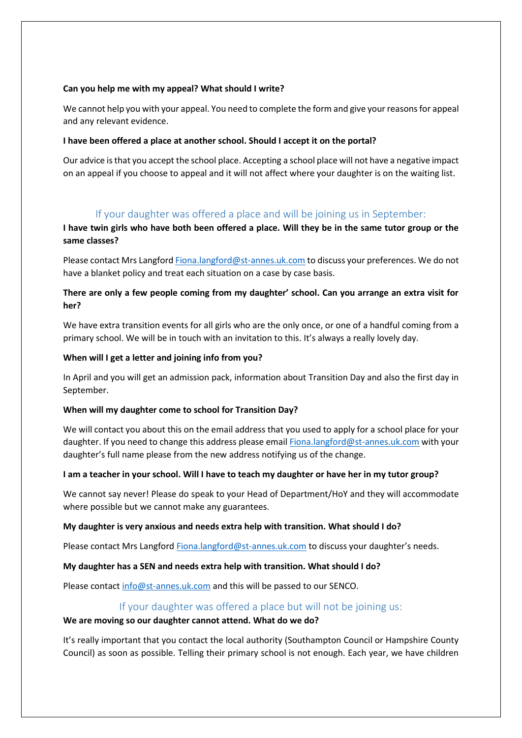### **Can you help me with my appeal? What should I write?**

We cannot help you with your appeal. You need to complete the form and give your reasons for appeal and any relevant evidence.

## **I have been offered a place at another school. Should I accept it on the portal?**

Our advice is that you accept the school place. Accepting a school place will not have a negative impact on an appeal if you choose to appeal and it will not affect where your daughter is on the waiting list.

# If your daughter was offered a place and will be joining us in September:

## **I have twin girls who have both been offered a place. Will they be in the same tutor group or the same classes?**

Please contact Mrs Langford [Fiona.langford@st-annes.uk.com](mailto:Fiona.langford@st-annes.uk.com) to discuss your preferences. We do not have a blanket policy and treat each situation on a case by case basis.

## **There are only a few people coming from my daughter' school. Can you arrange an extra visit for her?**

We have extra transition events for all girls who are the only once, or one of a handful coming from a primary school. We will be in touch with an invitation to this. It's always a really lovely day.

## **When will I get a letter and joining info from you?**

In April and you will get an admission pack, information about Transition Day and also the first day in September.

### **When will my daughter come to school for Transition Day?**

We will contact you about this on the email address that you used to apply for a school place for your daughter. If you need to change this address please emai[l Fiona.langford@st-annes.uk.com](mailto:Fiona.langford@st-annes.uk.com) with your daughter's full name please from the new address notifying us of the change.

### **I am a teacher in your school. Will I have to teach my daughter or have her in my tutor group?**

We cannot say never! Please do speak to your Head of Department/HoY and they will accommodate where possible but we cannot make any guarantees.

### **My daughter is very anxious and needs extra help with transition. What should I do?**

Please contact Mrs Langford [Fiona.langford@st-annes.uk.com](mailto:Fiona.langford@st-annes.uk.com) to discuss your daughter's needs.

### **My daughter has a SEN and needs extra help with transition. What should I do?**

Please contact [info@st-annes.uk.com](mailto:info@st-annes.uk.com) and this will be passed to our SENCO.

## If your daughter was offered a place but will not be joining us:

### **We are moving so our daughter cannot attend. What do we do?**

It's really important that you contact the local authority (Southampton Council or Hampshire County Council) as soon as possible. Telling their primary school is not enough. Each year, we have children